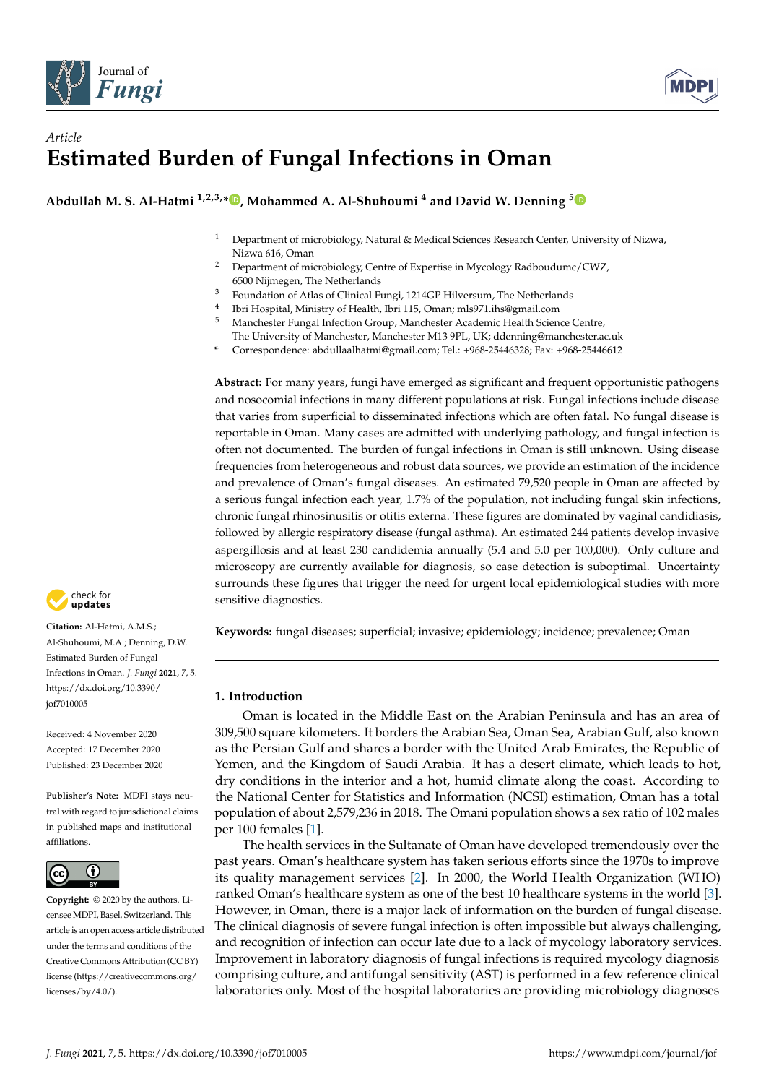



# *Article* **Estimated Burden of Fungal Infections in Oman**

**Abdullah M. S. Al-Hatmi 1,2,3,\* [,](https://orcid.org/0000-0002-5206-2647) Mohammed A. Al-Shuhoumi <sup>4</sup> and David W. Denning [5](https://orcid.org/0000-0001-5626-2251)**

- <sup>1</sup> Department of microbiology, Natural & Medical Sciences Research Center, University of Nizwa, Nizwa 616, Oman
- <sup>2</sup> Department of microbiology, Centre of Expertise in Mycology Radboudumc/CWZ, 6500 Nijmegen, The Netherlands
- <sup>3</sup> Foundation of Atlas of Clinical Fungi, 1214GP Hilversum, The Netherlands
- 4 Ibri Hospital, Ministry of Health, Ibri 115, Oman; mls971.ihs@gmail.com
- <sup>5</sup> Manchester Fungal Infection Group, Manchester Academic Health Science Centre, The University of Manchester, Manchester M13 9PL, UK; ddenning@manchester.ac.uk
- **\*** Correspondence: abdullaalhatmi@gmail.com; Tel.: +968-25446328; Fax: +968-25446612

**Abstract:** For many years, fungi have emerged as significant and frequent opportunistic pathogens and nosocomial infections in many different populations at risk. Fungal infections include disease that varies from superficial to disseminated infections which are often fatal. No fungal disease is reportable in Oman. Many cases are admitted with underlying pathology, and fungal infection is often not documented. The burden of fungal infections in Oman is still unknown. Using disease frequencies from heterogeneous and robust data sources, we provide an estimation of the incidence and prevalence of Oman's fungal diseases. An estimated 79,520 people in Oman are affected by a serious fungal infection each year, 1.7% of the population, not including fungal skin infections, chronic fungal rhinosinusitis or otitis externa. These figures are dominated by vaginal candidiasis, followed by allergic respiratory disease (fungal asthma). An estimated 244 patients develop invasive aspergillosis and at least 230 candidemia annually (5.4 and 5.0 per 100,000). Only culture and microscopy are currently available for diagnosis, so case detection is suboptimal. Uncertainty surrounds these figures that trigger the need for urgent local epidemiological studies with more sensitive diagnostics.

**Keywords:** fungal diseases; superficial; invasive; epidemiology; incidence; prevalence; Oman

# **1. Introduction**

Oman is located in the Middle East on the Arabian Peninsula and has an area of 309,500 square kilometers. It borders the Arabian Sea, Oman Sea, Arabian Gulf, also known as the Persian Gulf and shares a border with the United Arab Emirates, the Republic of Yemen, and the Kingdom of Saudi Arabia. It has a desert climate, which leads to hot, dry conditions in the interior and a hot, humid climate along the coast. According to the National Center for Statistics and Information (NCSI) estimation, Oman has a total population of about 2,579,236 in 2018. The Omani population shows a sex ratio of 102 males per 100 females [\[1\]](#page-9-0).

The health services in the Sultanate of Oman have developed tremendously over the past years. Oman's healthcare system has taken serious efforts since the 1970s to improve its quality management services [\[2\]](#page-9-1). In 2000, the World Health Organization (WHO) ranked Oman's healthcare system as one of the best 10 healthcare systems in the world [\[3\]](#page-9-2). However, in Oman, there is a major lack of information on the burden of fungal disease. The clinical diagnosis of severe fungal infection is often impossible but always challenging, and recognition of infection can occur late due to a lack of mycology laboratory services. Improvement in laboratory diagnosis of fungal infections is required mycology diagnosis comprising culture, and antifungal sensitivity (AST) is performed in a few reference clinical laboratories only. Most of the hospital laboratories are providing microbiology diagnoses



**Citation:** Al-Hatmi, A.M.S.; Al-Shuhoumi, M.A.; Denning, D.W. Estimated Burden of Fungal Infections in Oman. *J. Fungi* **2021**, *7*, 5. [https://dx.doi.org/10.3390/](https://dx.doi.org/10.3390/jof7010005) [jof7010005](https://dx.doi.org/10.3390/jof7010005)

Received: 4 November 2020 Accepted: 17 December 2020 Published: 23 December 2020

**Publisher's Note:** MDPI stays neutral with regard to jurisdictional claims in published maps and institutional affiliations.



**Copyright:** © 2020 by the authors. Licensee MDPI, Basel, Switzerland. This article is an open access article distributed under the terms and conditions of the Creative Commons Attribution (CC BY) license [\(https://creativecommons.org/](https://creativecommons.org/licenses/by/4.0/) [licenses/by/4.0/\)](https://creativecommons.org/licenses/by/4.0/).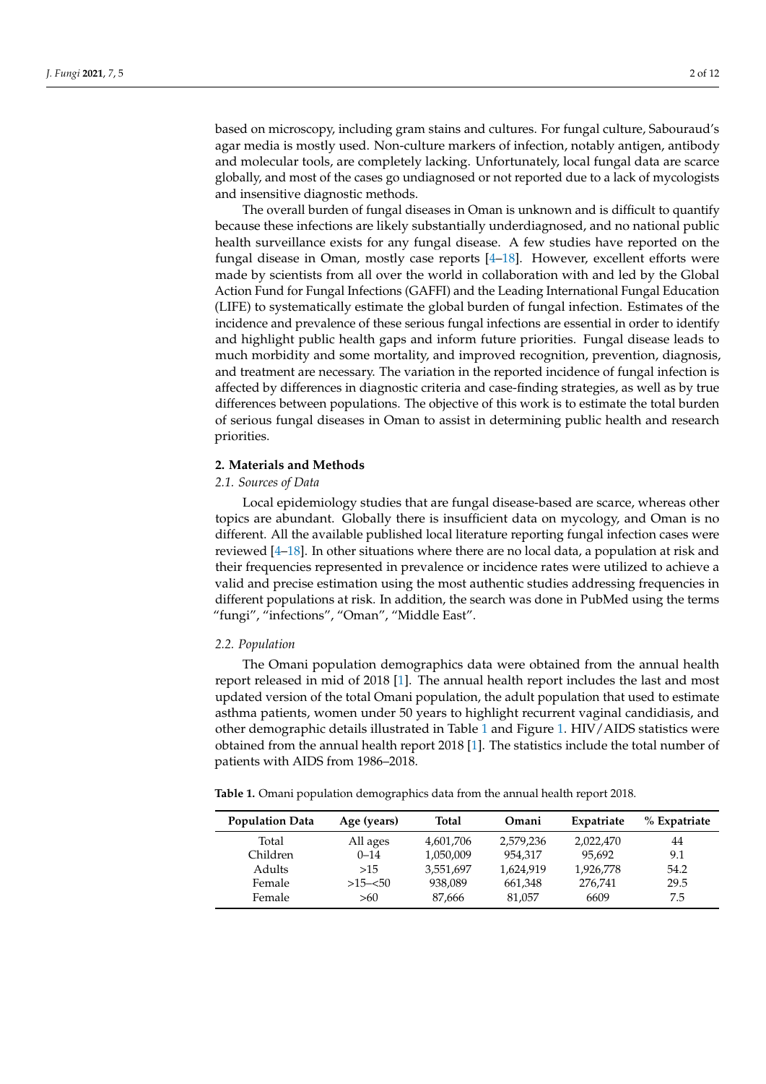based on microscopy, including gram stains and cultures. For fungal culture, Sabouraud's

agar media is mostly used. Non-culture markers of infection, notably antigen, antibody and molecular tools, are completely lacking. Unfortunately, local fungal data are scarce globally, and most of the cases go undiagnosed or not reported due to a lack of mycologists and insensitive diagnostic methods.

The overall burden of fungal diseases in Oman is unknown and is difficult to quantify because these infections are likely substantially underdiagnosed, and no national public health surveillance exists for any fungal disease. A few studies have reported on the fungal disease in Oman, mostly case reports [\[4](#page-9-3)[–18\]](#page-9-4). However, excellent efforts were made by scientists from all over the world in collaboration with and led by the Global Action Fund for Fungal Infections (GAFFI) and the Leading International Fungal Education (LIFE) to systematically estimate the global burden of fungal infection. Estimates of the incidence and prevalence of these serious fungal infections are essential in order to identify and highlight public health gaps and inform future priorities. Fungal disease leads to much morbidity and some mortality, and improved recognition, prevention, diagnosis, and treatment are necessary. The variation in the reported incidence of fungal infection is affected by differences in diagnostic criteria and case-finding strategies, as well as by true differences between populations. The objective of this work is to estimate the total burden of serious fungal diseases in Oman to assist in determining public health and research priorities.

### **2. Materials and Methods**

### *2.1. Sources of Data*

Local epidemiology studies that are fungal disease-based are scarce, whereas other topics are abundant. Globally there is insufficient data on mycology, and Oman is no different. All the available published local literature reporting fungal infection cases were reviewed [\[4–](#page-9-3)[18\]](#page-9-4). In other situations where there are no local data, a population at risk and their frequencies represented in prevalence or incidence rates were utilized to achieve a valid and precise estimation using the most authentic studies addressing frequencies in different populations at risk. In addition, the search was done in PubMed using the terms "fungi", "infections", "Oman", "Middle East".

# *2.2. Population*

The Omani population demographics data were obtained from the annual health report released in mid of 2018 [\[1\]](#page-9-0). The annual health report includes the last and most updated version of the total Omani population, the adult population that used to estimate asthma patients, women under 50 years to highlight recurrent vaginal candidiasis, and other demographic details illustrated in Table [1](#page-1-0) and Figure [1.](#page-2-0) HIV/AIDS statistics were obtained from the annual health report 2018 [\[1\]](#page-9-0). The statistics include the total number of patients with AIDS from 1986–2018.

<span id="page-1-0"></span>**Table 1.** Omani population demographics data from the annual health report 2018.

| <b>Population Data</b> | Age (years) | <b>Total</b> | Omani     | Expatriate | % Expatriate |
|------------------------|-------------|--------------|-----------|------------|--------------|
| Total                  | All ages    | 4,601,706    | 2.579.236 | 2,022,470  | 44           |
| Children               | $0 - 14$    | 1,050,009    | 954,317   | 95.692     | 9.1          |
| Adults                 | >15         | 3,551,697    | 1,624,919 | 1,926,778  | 54.2         |
| Female                 | $>15 - 50$  | 938,089      | 661,348   | 276,741    | 29.5         |
| Female                 | >60         | 87.666       | 81.057    | 6609       | 7.5          |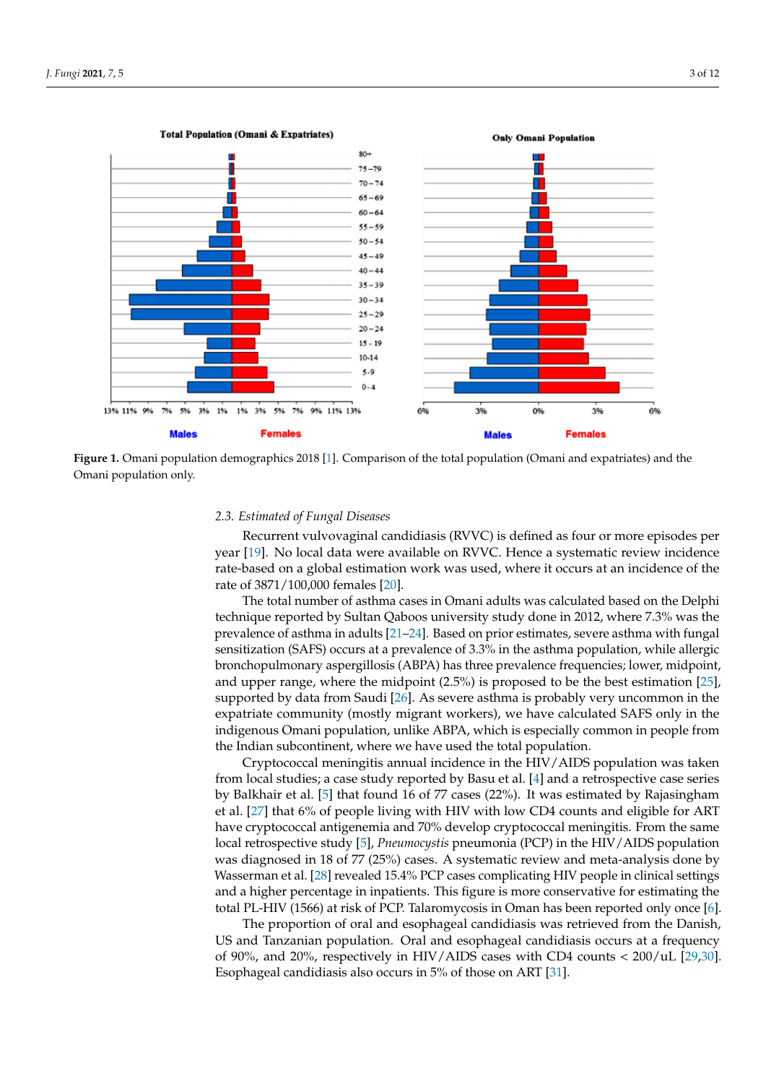<span id="page-2-0"></span>

**Figure 1.** Omani population demographics 2018 [\[1\]](#page-9-0). Comparison of the total population (Omani and expatriates) and the Omani population only.

# 2.3. Estimated of Fungal Diseases

rate-based on a global estimation work was used, where it occurs at an incidence of the rate of  $3871/100,000$  females [\[20\]](#page-10-0). Recurrent vulvovaginal candidiasis (RVVC) is defined as four or more episodes per year [\[19\]](#page-9-5). No local data were available on RVVC. Hence a systematic review incidence

The total number of asthma cases in Omani adults was calculated based on the Delphi technique reported by Sultan Qaboos university study done in 2012, where 7.3% was the prevalence of asthma in adults [\[21–](#page-10-1)[24\]](#page-10-2). Based on prior estimates, severe asthma with fungal sensitization (SAFS) occurs at a prevalence of 3.3% in the asthma population, while allergic bronchopulmonary aspergillosis (ABPA) has three prevalence frequencies; lower, midpoint, and upper range, where the midpoint  $(2.5%)$  is proposed to be the best estimation [\[25\]](#page-10-3), supported by data from Saudi [\[26\]](#page-10-4). As severe asthma is probably very uncommon in the expatriate community (mostly migrant workers), we have calculated SAFS only in the indigenous Omani population, unlike ABPA, which is especially common in people from the Indian subcontinent, where we have used the total population.

Cryptococcal meningitis annual incidence in the HIV/AIDS population was taken from local studies; a case study reported by Basu et al. [\[4\]](#page-9-3) and a retrospective case series by Balkhair et al. [\[5\]](#page-9-6) that found 16 of 77 cases (22%). It was estimated by Rajasingham Let al. [27] that 0% of people fiving with IIIV with low CD4 counts and englote for TINI<br>have cryptococcal antigenemia and 70% develop cryptococcal meningitis. From the same from local studies; a case studies; a case studies; a case of the procedure case series series series series s local retrospective study [\[5\]](#page-9-6), *Pneumocystis* pneumonia (PCP) in the HIV/AIDS population<br>research in was estimated by Rajasingham et al. and was the westimated was helped and here he was angressed in 15 of 77 (25%) cases. A systemate review and meat analysis done by Wasserman et al. [\[28\]](#page-10-6) revealed 15.4% PCP cases complicating HIV people in clinical settings and a higher percentage in inpatients. This figure is more conservative for estimating the total PL-HIV (1566) at risk of PCP. Talaromycosis in Oman has been reported only once [\[6\]](#page-9-7). et al. [\[27\]](#page-10-5) that 6% of people living with HIV with low CD4 counts and eligible for ART was diagnosed in 18 of 77 (25%) cases. A systematic review and meta-analysis done by

The proportion of oral and esophageal candidiasis was retrieved from the Danish, serman et al. [28] revealed 15.4% PCP cases complicating HIV people in clinical settings US and Tanzanian population. Oral and esophageal candidiasis occurs at a frequency of 90%, and 20%, respectively in HIV/AIDS cases with CD4 counts  $<$  200/uL [\[29,](#page-10-7)[30\]](#page-10-8). Esophageal candidiasis also occurs in 5% of those on ART [\[31\]](#page-10-9).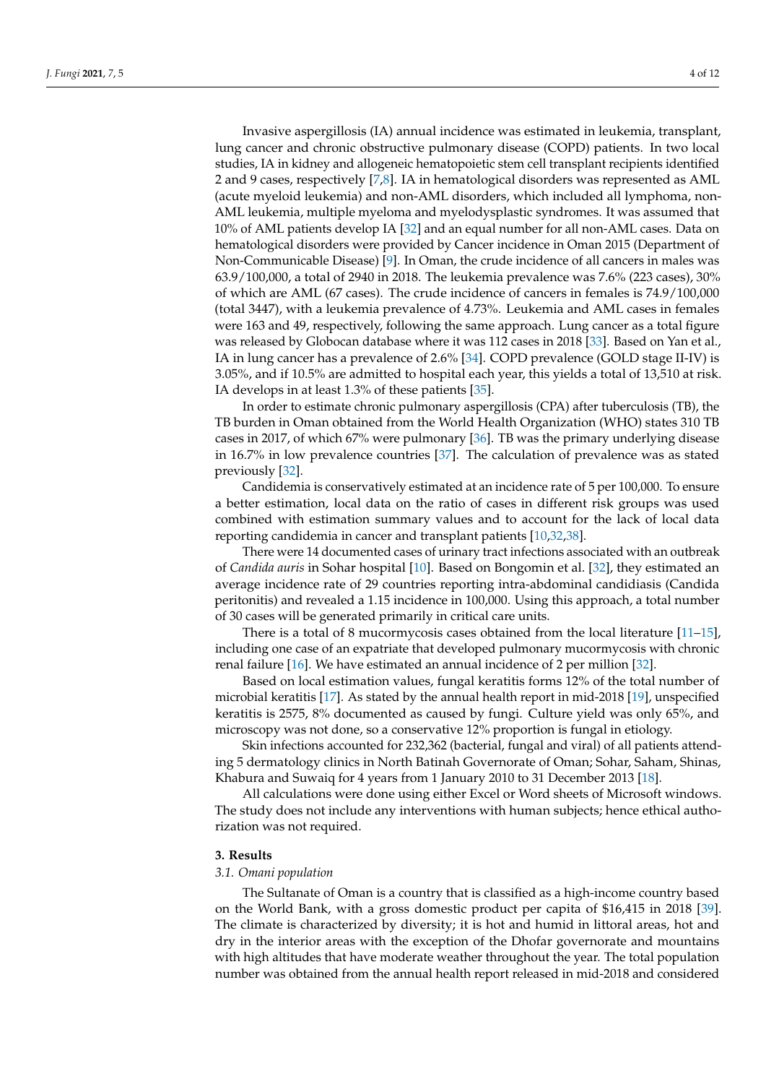Invasive aspergillosis (IA) annual incidence was estimated in leukemia, transplant, lung cancer and chronic obstructive pulmonary disease (COPD) patients. In two local studies, IA in kidney and allogeneic hematopoietic stem cell transplant recipients identified 2 and 9 cases, respectively [\[7](#page-9-8)[,8\]](#page-9-9). IA in hematological disorders was represented as AML (acute myeloid leukemia) and non-AML disorders, which included all lymphoma, non-AML leukemia, multiple myeloma and myelodysplastic syndromes. It was assumed that 10% of AML patients develop IA [\[32\]](#page-10-10) and an equal number for all non-AML cases. Data on hematological disorders were provided by Cancer incidence in Oman 2015 (Department of Non-Communicable Disease) [\[9\]](#page-9-10). In Oman, the crude incidence of all cancers in males was 63.9/100,000, a total of 2940 in 2018. The leukemia prevalence was 7.6% (223 cases), 30% of which are AML (67 cases). The crude incidence of cancers in females is 74.9/100,000 (total 3447), with a leukemia prevalence of 4.73%. Leukemia and AML cases in females were 163 and 49, respectively, following the same approach. Lung cancer as a total figure was released by Globocan database where it was 112 cases in 2018 [\[33\]](#page-10-11). Based on Yan et al., IA in lung cancer has a prevalence of 2.6% [\[34\]](#page-10-12). COPD prevalence (GOLD stage II-IV) is 3.05%, and if 10.5% are admitted to hospital each year, this yields a total of 13,510 at risk. IA develops in at least 1.3% of these patients [\[35\]](#page-10-13).

In order to estimate chronic pulmonary aspergillosis (CPA) after tuberculosis (TB), the TB burden in Oman obtained from the World Health Organization (WHO) states 310 TB cases in 2017, of which 67% were pulmonary [\[36\]](#page-10-14). TB was the primary underlying disease in 16.7% in low prevalence countries [\[37\]](#page-10-15). The calculation of prevalence was as stated previously [\[32\]](#page-10-10).

Candidemia is conservatively estimated at an incidence rate of 5 per 100,000. To ensure a better estimation, local data on the ratio of cases in different risk groups was used combined with estimation summary values and to account for the lack of local data reporting candidemia in cancer and transplant patients [\[10,](#page-9-11)[32,](#page-10-10)[38\]](#page-10-16).

There were 14 documented cases of urinary tract infections associated with an outbreak of *Candida auris* in Sohar hospital [\[10\]](#page-9-11). Based on Bongomin et al. [\[32\]](#page-10-10), they estimated an average incidence rate of 29 countries reporting intra-abdominal candidiasis (Candida peritonitis) and revealed a 1.15 incidence in 100,000. Using this approach, a total number of 30 cases will be generated primarily in critical care units.

There is a total of 8 mucormycosis cases obtained from the local literature [\[11–](#page-9-12)[15\]](#page-9-13), including one case of an expatriate that developed pulmonary mucormycosis with chronic renal failure [\[16\]](#page-9-14). We have estimated an annual incidence of 2 per million [\[32\]](#page-10-10).

Based on local estimation values, fungal keratitis forms 12% of the total number of microbial keratitis [\[17\]](#page-9-15). As stated by the annual health report in mid-2018 [\[19\]](#page-9-5), unspecified keratitis is 2575, 8% documented as caused by fungi. Culture yield was only 65%, and microscopy was not done, so a conservative 12% proportion is fungal in etiology.

Skin infections accounted for 232,362 (bacterial, fungal and viral) of all patients attending 5 dermatology clinics in North Batinah Governorate of Oman; Sohar, Saham, Shinas, Khabura and Suwaiq for 4 years from 1 January 2010 to 31 December 2013 [\[18\]](#page-9-4).

All calculations were done using either Excel or Word sheets of Microsoft windows. The study does not include any interventions with human subjects; hence ethical authorization was not required.

### **3. Results**

#### *3.1. Omani population*

The Sultanate of Oman is a country that is classified as a high-income country based on the World Bank, with a gross domestic product per capita of \$16,415 in 2018 [\[39\]](#page-10-17). The climate is characterized by diversity; it is hot and humid in littoral areas, hot and dry in the interior areas with the exception of the Dhofar governorate and mountains with high altitudes that have moderate weather throughout the year. The total population number was obtained from the annual health report released in mid-2018 and considered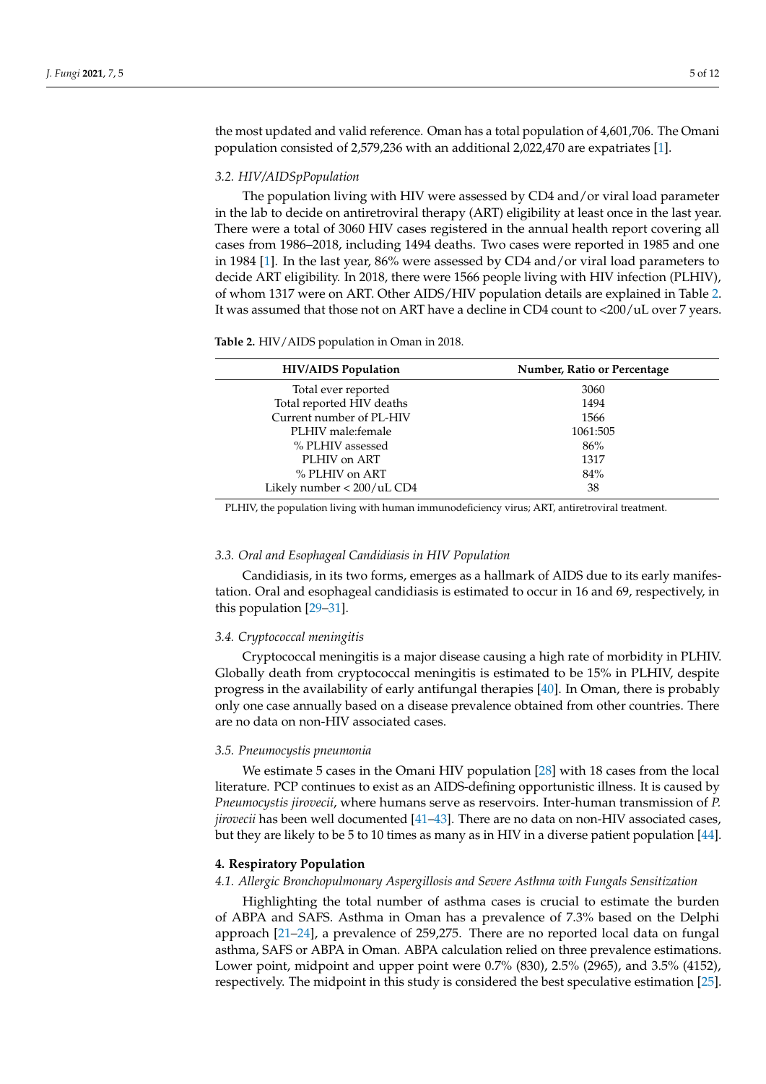the most updated and valid reference. Oman has a total population of 4,601,706. The Omani population consisted of 2,579,236 with an additional 2,022,470 are expatriates [\[1\]](#page-9-0).

### *3.2. HIV/AIDSpPopulation*

The population living with HIV were assessed by CD4 and/or viral load parameter in the lab to decide on antiretroviral therapy (ART) eligibility at least once in the last year. There were a total of 3060 HIV cases registered in the annual health report covering all cases from 1986–2018, including 1494 deaths. Two cases were reported in 1985 and one in 1984 [\[1\]](#page-9-0). In the last year, 86% were assessed by CD4 and/or viral load parameters to decide ART eligibility. In 2018, there were 1566 people living with HIV infection (PLHIV), of whom 1317 were on ART. Other AIDS/HIV population details are explained in Table [2.](#page-4-0) It was assumed that those not on ART have a decline in CD4 count to <200/uL over 7 years.

<span id="page-4-0"></span>**Table 2.** HIV/AIDS population in Oman in 2018.

| <b>HIV/AIDS</b> Population | Number, Ratio or Percentage |  |  |
|----------------------------|-----------------------------|--|--|
| Total ever reported        | 3060                        |  |  |
| Total reported HIV deaths  | 1494                        |  |  |
| Current number of PL-HIV   | 1566                        |  |  |
| PLHIV male: female         | 1061:505                    |  |  |
| % PLHIV assessed           | 86%                         |  |  |
| PLHIV on ART               | 1317                        |  |  |
| % PLHIV on ART             | 84%                         |  |  |
| Likely number < 200/uL CD4 | 38                          |  |  |

PLHIV, the population living with human immunodeficiency virus; ART, antiretroviral treatment.

### *3.3. Oral and Esophageal Candidiasis in HIV Population*

Candidiasis, in its two forms, emerges as a hallmark of AIDS due to its early manifestation. Oral and esophageal candidiasis is estimated to occur in 16 and 69, respectively, in this population [\[29](#page-10-7)[–31\]](#page-10-9).

### *3.4. Cryptococcal meningitis*

Cryptococcal meningitis is a major disease causing a high rate of morbidity in PLHIV. Globally death from cryptococcal meningitis is estimated to be 15% in PLHIV, despite progress in the availability of early antifungal therapies [\[40\]](#page-10-18). In Oman, there is probably only one case annually based on a disease prevalence obtained from other countries. There are no data on non-HIV associated cases.

### *3.5. Pneumocystis pneumonia*

We estimate 5 cases in the Omani HIV population [\[28\]](#page-10-6) with 18 cases from the local literature. PCP continues to exist as an AIDS-defining opportunistic illness. It is caused by *Pneumocystis jirovecii*, where humans serve as reservoirs. Inter-human transmission of *P. jirovecii* has been well documented [\[41–](#page-10-19)[43\]](#page-10-20). There are no data on non-HIV associated cases, but they are likely to be 5 to 10 times as many as in HIV in a diverse patient population [\[44\]](#page-10-21).

# **4. Respiratory Population**

### *4.1. Allergic Bronchopulmonary Aspergillosis and Severe Asthma with Fungals Sensitization*

Highlighting the total number of asthma cases is crucial to estimate the burden of ABPA and SAFS. Asthma in Oman has a prevalence of 7.3% based on the Delphi approach [\[21](#page-10-1)[–24\]](#page-10-2), a prevalence of 259,275. There are no reported local data on fungal asthma, SAFS or ABPA in Oman. ABPA calculation relied on three prevalence estimations. Lower point, midpoint and upper point were 0.7% (830), 2.5% (2965), and 3.5% (4152), respectively. The midpoint in this study is considered the best speculative estimation [\[25\]](#page-10-3).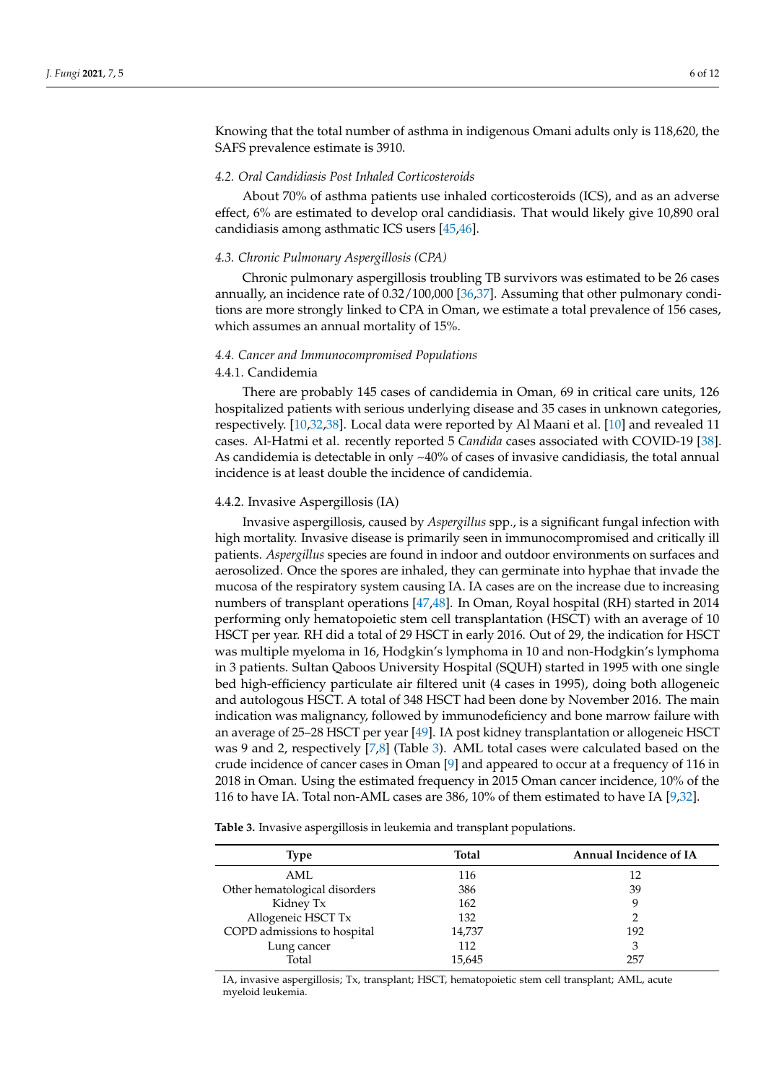Knowing that the total number of asthma in indigenous Omani adults only is 118,620, the SAFS prevalence estimate is 3910.

### *4.2. Oral Candidiasis Post Inhaled Corticosteroids*

About 70% of asthma patients use inhaled corticosteroids (ICS), and as an adverse effect, 6% are estimated to develop oral candidiasis. That would likely give 10,890 oral candidiasis among asthmatic ICS users [\[45](#page-10-22)[,46\]](#page-10-23).

#### *4.3. Chronic Pulmonary Aspergillosis (CPA)*

Chronic pulmonary aspergillosis troubling TB survivors was estimated to be 26 cases annually, an incidence rate of 0.32/100,000 [\[36,](#page-10-14)[37\]](#page-10-15). Assuming that other pulmonary conditions are more strongly linked to CPA in Oman, we estimate a total prevalence of 156 cases, which assumes an annual mortality of 15%.

### *4.4. Cancer and Immunocompromised Populations*

### 4.4.1. Candidemia

There are probably 145 cases of candidemia in Oman, 69 in critical care units, 126 hospitalized patients with serious underlying disease and 35 cases in unknown categories, respectively. [\[10,](#page-9-11)[32,](#page-10-10)[38\]](#page-10-16). Local data were reported by Al Maani et al. [\[10\]](#page-9-11) and revealed 11 cases. Al-Hatmi et al. recently reported 5 *Candida* cases associated with COVID-19 [\[38\]](#page-10-16). As candidemia is detectable in only  $~40\%$  of cases of invasive candidiasis, the total annual incidence is at least double the incidence of candidemia.

# 4.4.2. Invasive Aspergillosis (IA)

Invasive aspergillosis, caused by *Aspergillus* spp., is a significant fungal infection with high mortality. Invasive disease is primarily seen in immunocompromised and critically ill patients. *Aspergillus* species are found in indoor and outdoor environments on surfaces and aerosolized. Once the spores are inhaled, they can germinate into hyphae that invade the mucosa of the respiratory system causing IA. IA cases are on the increase due to increasing numbers of transplant operations [\[47](#page-11-0)[,48\]](#page-11-1). In Oman, Royal hospital (RH) started in 2014 performing only hematopoietic stem cell transplantation (HSCT) with an average of 10 HSCT per year. RH did a total of 29 HSCT in early 2016. Out of 29, the indication for HSCT was multiple myeloma in 16, Hodgkin's lymphoma in 10 and non-Hodgkin's lymphoma in 3 patients. Sultan Qaboos University Hospital (SQUH) started in 1995 with one single bed high-efficiency particulate air filtered unit (4 cases in 1995), doing both allogeneic and autologous HSCT. A total of 348 HSCT had been done by November 2016. The main indication was malignancy, followed by immunodeficiency and bone marrow failure with an average of 25–28 HSCT per year [\[49\]](#page-11-2). IA post kidney transplantation or allogeneic HSCT was 9 and 2, respectively [\[7,](#page-9-8)[8\]](#page-9-9) (Table [3\)](#page-5-0). AML total cases were calculated based on the crude incidence of cancer cases in Oman [\[9\]](#page-9-10) and appeared to occur at a frequency of 116 in 2018 in Oman. Using the estimated frequency in 2015 Oman cancer incidence, 10% of the 116 to have IA. Total non-AML cases are 386, 10% of them estimated to have IA [\[9](#page-9-10)[,32\]](#page-10-10).

<span id="page-5-0"></span>**Table 3.** Invasive aspergillosis in leukemia and transplant populations.

| Type                          | Total  | <b>Annual Incidence of IA</b> |  |  |
|-------------------------------|--------|-------------------------------|--|--|
| AML                           | 116    | 12                            |  |  |
| Other hematological disorders | 386    | 39                            |  |  |
| Kidney Tx                     | 162    | q                             |  |  |
| Allogeneic HSCT Tx            | 132    |                               |  |  |
| COPD admissions to hospital   | 14,737 | 192                           |  |  |
| Lung cancer                   | 112    | 3                             |  |  |
| Total                         | 15,645 | 257                           |  |  |
|                               |        |                               |  |  |

IA, invasive aspergillosis; Tx, transplant; HSCT, hematopoietic stem cell transplant; AML, acute myeloid leukemia.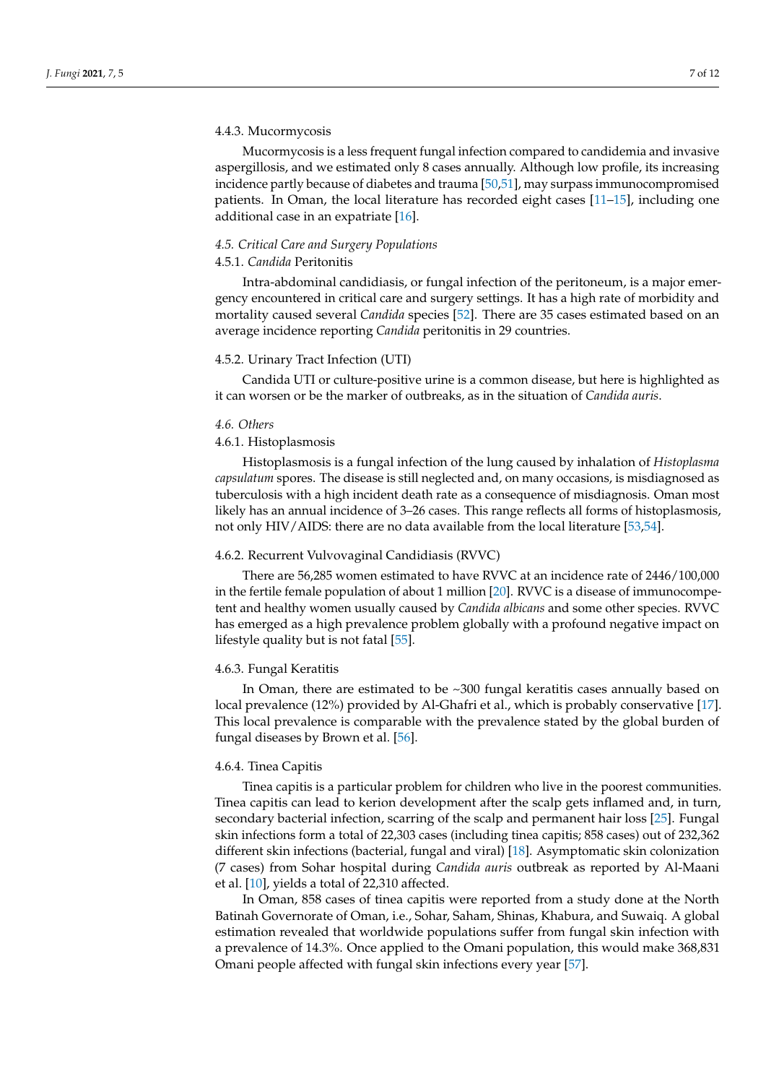### 4.4.3. Mucormycosis

Mucormycosis is a less frequent fungal infection compared to candidemia and invasive aspergillosis, and we estimated only 8 cases annually. Although low profile, its increasing incidence partly because of diabetes and trauma [\[50,](#page-11-3)[51\]](#page-11-4), may surpass immunocompromised patients. In Oman, the local literature has recorded eight cases [\[11–](#page-9-12)[15\]](#page-9-13), including one additional case in an expatriate [\[16\]](#page-9-14).

# *4.5. Critical Care and Surgery Populations*

# 4.5.1. *Candida* Peritonitis

Intra-abdominal candidiasis, or fungal infection of the peritoneum, is a major emergency encountered in critical care and surgery settings. It has a high rate of morbidity and mortality caused several *Candida* species [\[52\]](#page-11-5). There are 35 cases estimated based on an average incidence reporting *Candida* peritonitis in 29 countries.

# 4.5.2. Urinary Tract Infection (UTI)

Candida UTI or culture-positive urine is a common disease, but here is highlighted as it can worsen or be the marker of outbreaks, as in the situation of *Candida auris*.

### *4.6. Others*

## 4.6.1. Histoplasmosis

Histoplasmosis is a fungal infection of the lung caused by inhalation of *Histoplasma capsulatum* spores. The disease is still neglected and, on many occasions, is misdiagnosed as tuberculosis with a high incident death rate as a consequence of misdiagnosis. Oman most likely has an annual incidence of 3–26 cases. This range reflects all forms of histoplasmosis, not only HIV/AIDS: there are no data available from the local literature [\[53,](#page-11-6)[54\]](#page-11-7).

### 4.6.2. Recurrent Vulvovaginal Candidiasis (RVVC)

There are 56,285 women estimated to have RVVC at an incidence rate of 2446/100,000 in the fertile female population of about 1 million [\[20\]](#page-10-0). RVVC is a disease of immunocompetent and healthy women usually caused by *Candida albicans* and some other species. RVVC has emerged as a high prevalence problem globally with a profound negative impact on lifestyle quality but is not fatal [\[55\]](#page-11-8).

#### 4.6.3. Fungal Keratitis

In Oman, there are estimated to be ~300 fungal keratitis cases annually based on local prevalence (12%) provided by Al-Ghafri et al., which is probably conservative [\[17\]](#page-9-15). This local prevalence is comparable with the prevalence stated by the global burden of fungal diseases by Brown et al. [\[56\]](#page-11-9).

# 4.6.4. Tinea Capitis

Tinea capitis is a particular problem for children who live in the poorest communities. Tinea capitis can lead to kerion development after the scalp gets inflamed and, in turn, secondary bacterial infection, scarring of the scalp and permanent hair loss [\[25\]](#page-10-3). Fungal skin infections form a total of 22,303 cases (including tinea capitis; 858 cases) out of 232,362 different skin infections (bacterial, fungal and viral) [\[18\]](#page-9-4). Asymptomatic skin colonization (7 cases) from Sohar hospital during *Candida auris* outbreak as reported by Al-Maani et al. [\[10\]](#page-9-11), yields a total of 22,310 affected.

In Oman, 858 cases of tinea capitis were reported from a study done at the North Batinah Governorate of Oman, i.e., Sohar, Saham, Shinas, Khabura, and Suwaiq. A global estimation revealed that worldwide populations suffer from fungal skin infection with a prevalence of 14.3%. Once applied to the Omani population, this would make 368,831 Omani people affected with fungal skin infections every year [\[57\]](#page-11-10).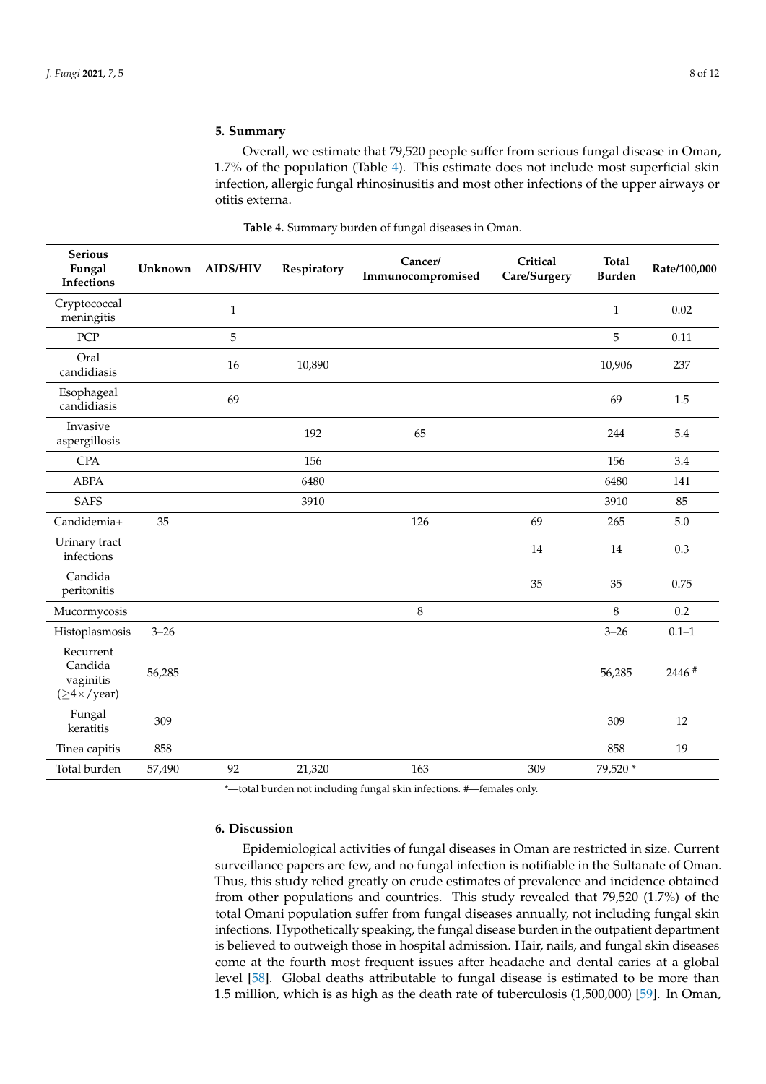# **5. Summary**

Overall, we estimate that 79,520 people suffer from serious fungal disease in Oman, 1.7% of the population (Table [4\)](#page-7-0). This estimate does not include most superficial skin infection, allergic fungal rhinosinusitis and most other infections of the upper airways or otitis externa.

<span id="page-7-0"></span>

| <b>Serious</b><br>Fungal<br><b>Infections</b>                        | Unknown  | <b>AIDS/HIV</b> | Respiratory | Cancer/<br>Immunocompromised | Critical<br>Care/Surgery | <b>Total</b><br><b>Burden</b> | Rate/100,000 |
|----------------------------------------------------------------------|----------|-----------------|-------------|------------------------------|--------------------------|-------------------------------|--------------|
| Cryptococcal<br>meningitis                                           |          | $\mathbf{1}$    |             |                              |                          | $\mathbf{1}$                  | 0.02         |
| PCP                                                                  |          | 5               |             |                              |                          | 5                             | 0.11         |
| Oral<br>candidiasis                                                  |          | 16              | 10,890      |                              |                          | 10,906                        | 237          |
| Esophageal<br>candidiasis                                            |          | 69              |             |                              |                          | 69                            | $1.5\,$      |
| Invasive<br>aspergillosis                                            |          |                 | 192         | 65                           |                          | 244                           | 5.4          |
| <b>CPA</b>                                                           |          |                 | 156         |                              |                          | 156                           | 3.4          |
| <b>ABPA</b>                                                          |          |                 | 6480        |                              |                          | 6480                          | 141          |
| <b>SAFS</b>                                                          |          |                 | 3910        |                              |                          | 3910                          | 85           |
| Candidemia+                                                          | 35       |                 |             | 126                          | 69                       | 265                           | 5.0          |
| Urinary tract<br>infections                                          |          |                 |             |                              | 14                       | 14                            | 0.3          |
| Candida<br>peritonitis                                               |          |                 |             |                              | 35                       | 35                            | 0.75         |
| Mucormycosis                                                         |          |                 |             | 8                            |                          | 8                             | 0.2          |
| Histoplasmosis                                                       | $3 - 26$ |                 |             |                              |                          | $3 - 26$                      | $0.1 - 1$    |
| Recurrent<br>Candida<br>vaginitis<br>$(\geq 4 \times / \text{year})$ | 56,285   |                 |             |                              |                          | 56,285                        | 2446 #       |
| Fungal<br>keratitis                                                  | 309      |                 |             |                              |                          | 309                           | 12           |
| Tinea capitis                                                        | 858      |                 |             |                              |                          | 858                           | 19           |
| Total burden                                                         | 57,490   | 92              | 21,320      | 163                          | 309                      | 79,520 *                      |              |

### **Table 4.** Summary burden of fungal diseases in Oman.

\*—total burden not including fungal skin infections. #—females only.

# **6. Discussion**

Epidemiological activities of fungal diseases in Oman are restricted in size. Current surveillance papers are few, and no fungal infection is notifiable in the Sultanate of Oman. Thus, this study relied greatly on crude estimates of prevalence and incidence obtained from other populations and countries. This study revealed that 79,520 (1.7%) of the total Omani population suffer from fungal diseases annually, not including fungal skin infections. Hypothetically speaking, the fungal disease burden in the outpatient department is believed to outweigh those in hospital admission. Hair, nails, and fungal skin diseases come at the fourth most frequent issues after headache and dental caries at a global level [\[58\]](#page-11-11). Global deaths attributable to fungal disease is estimated to be more than 1.5 million, which is as high as the death rate of tuberculosis (1,500,000) [\[59\]](#page-11-12). In Oman,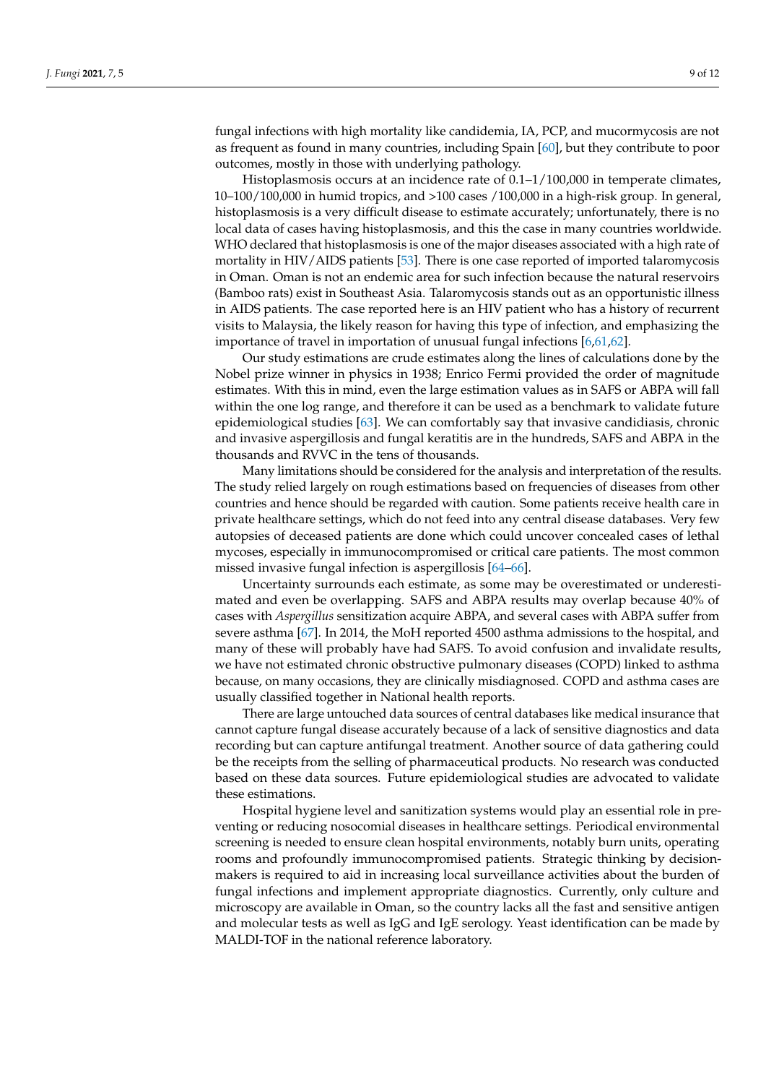fungal infections with high mortality like candidemia, IA, PCP, and mucormycosis are not as frequent as found in many countries, including Spain [\[60\]](#page-11-13), but they contribute to poor outcomes, mostly in those with underlying pathology.

Histoplasmosis occurs at an incidence rate of 0.1–1/100,000 in temperate climates, 10–100/100,000 in humid tropics, and >100 cases /100,000 in a high-risk group. In general, histoplasmosis is a very difficult disease to estimate accurately; unfortunately, there is no local data of cases having histoplasmosis, and this the case in many countries worldwide. WHO declared that histoplasmosis is one of the major diseases associated with a high rate of mortality in HIV/AIDS patients [\[53\]](#page-11-6). There is one case reported of imported talaromycosis in Oman. Oman is not an endemic area for such infection because the natural reservoirs (Bamboo rats) exist in Southeast Asia. Talaromycosis stands out as an opportunistic illness in AIDS patients. The case reported here is an HIV patient who has a history of recurrent visits to Malaysia, the likely reason for having this type of infection, and emphasizing the importance of travel in importation of unusual fungal infections [\[6](#page-9-7)[,61](#page-11-14)[,62\]](#page-11-15).

Our study estimations are crude estimates along the lines of calculations done by the Nobel prize winner in physics in 1938; Enrico Fermi provided the order of magnitude estimates. With this in mind, even the large estimation values as in SAFS or ABPA will fall within the one log range, and therefore it can be used as a benchmark to validate future epidemiological studies [\[63\]](#page-11-16). We can comfortably say that invasive candidiasis, chronic and invasive aspergillosis and fungal keratitis are in the hundreds, SAFS and ABPA in the thousands and RVVC in the tens of thousands.

Many limitations should be considered for the analysis and interpretation of the results. The study relied largely on rough estimations based on frequencies of diseases from other countries and hence should be regarded with caution. Some patients receive health care in private healthcare settings, which do not feed into any central disease databases. Very few autopsies of deceased patients are done which could uncover concealed cases of lethal mycoses, especially in immunocompromised or critical care patients. The most common missed invasive fungal infection is aspergillosis [\[64](#page-11-17)[–66\]](#page-11-18).

Uncertainty surrounds each estimate, as some may be overestimated or underestimated and even be overlapping. SAFS and ABPA results may overlap because 40% of cases with *Aspergillus* sensitization acquire ABPA, and several cases with ABPA suffer from severe asthma [\[67\]](#page-11-19). In 2014, the MoH reported 4500 asthma admissions to the hospital, and many of these will probably have had SAFS. To avoid confusion and invalidate results, we have not estimated chronic obstructive pulmonary diseases (COPD) linked to asthma because, on many occasions, they are clinically misdiagnosed. COPD and asthma cases are usually classified together in National health reports.

There are large untouched data sources of central databases like medical insurance that cannot capture fungal disease accurately because of a lack of sensitive diagnostics and data recording but can capture antifungal treatment. Another source of data gathering could be the receipts from the selling of pharmaceutical products. No research was conducted based on these data sources. Future epidemiological studies are advocated to validate these estimations.

Hospital hygiene level and sanitization systems would play an essential role in preventing or reducing nosocomial diseases in healthcare settings. Periodical environmental screening is needed to ensure clean hospital environments, notably burn units, operating rooms and profoundly immunocompromised patients. Strategic thinking by decisionmakers is required to aid in increasing local surveillance activities about the burden of fungal infections and implement appropriate diagnostics. Currently, only culture and microscopy are available in Oman, so the country lacks all the fast and sensitive antigen and molecular tests as well as IgG and IgE serology. Yeast identification can be made by MALDI-TOF in the national reference laboratory.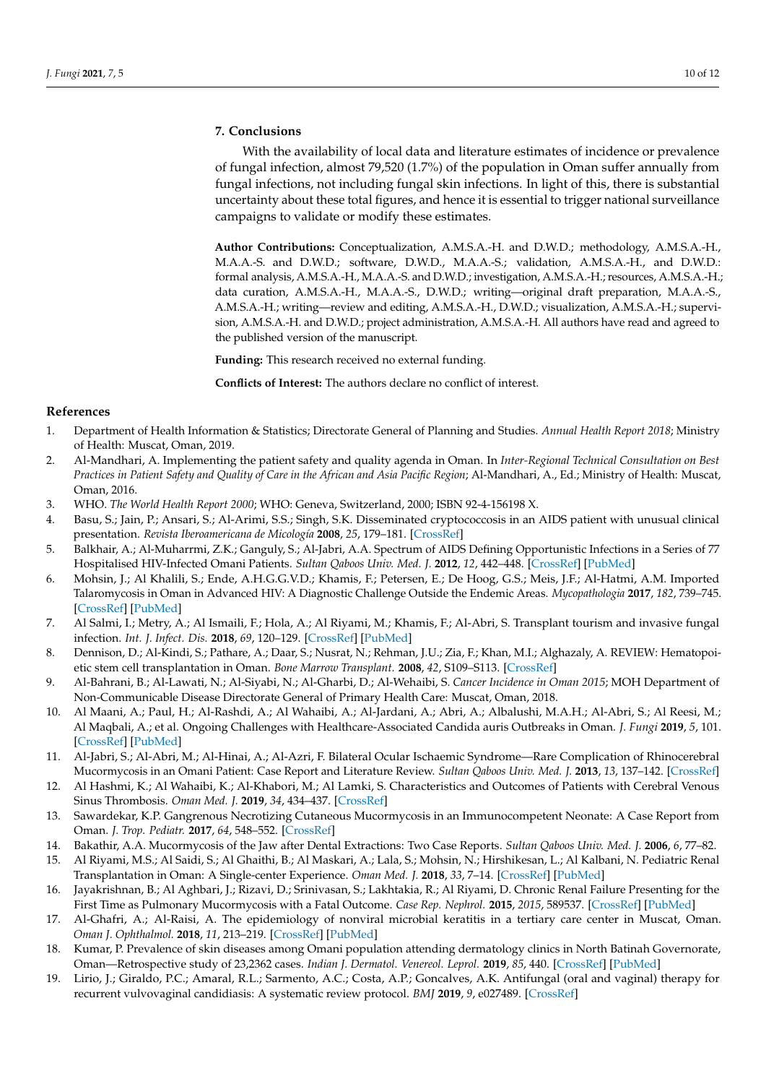# **7. Conclusions**

With the availability of local data and literature estimates of incidence or prevalence of fungal infection, almost 79,520 (1.7%) of the population in Oman suffer annually from fungal infections, not including fungal skin infections. In light of this, there is substantial uncertainty about these total figures, and hence it is essential to trigger national surveillance campaigns to validate or modify these estimates.

**Author Contributions:** Conceptualization, A.M.S.A.-H. and D.W.D.; methodology, A.M.S.A.-H., M.A.A.-S. and D.W.D.; software, D.W.D., M.A.A.-S.; validation, A.M.S.A.-H., and D.W.D.: formal analysis, A.M.S.A.-H., M.A.A.-S. and D.W.D.; investigation, A.M.S.A.-H.; resources, A.M.S.A.-H.; data curation, A.M.S.A.-H., M.A.A.-S., D.W.D.; writing—original draft preparation, M.A.A.-S., A.M.S.A.-H.; writing—review and editing, A.M.S.A.-H., D.W.D.; visualization, A.M.S.A.-H.; supervision, A.M.S.A.-H. and D.W.D.; project administration, A.M.S.A.-H. All authors have read and agreed to the published version of the manuscript.

**Funding:** This research received no external funding.

**Conflicts of Interest:** The authors declare no conflict of interest.

## **References**

- <span id="page-9-0"></span>1. Department of Health Information & Statistics; Directorate General of Planning and Studies. *Annual Health Report 2018*; Ministry of Health: Muscat, Oman, 2019.
- <span id="page-9-1"></span>2. Al-Mandhari, A. Implementing the patient safety and quality agenda in Oman. In *Inter-Regional Technical Consultation on Best Practices in Patient Safety and Quality of Care in the African and Asia Pacific Region*; Al-Mandhari, A., Ed.; Ministry of Health: Muscat, Oman, 2016.
- <span id="page-9-2"></span>3. WHO. *The World Health Report 2000*; WHO: Geneva, Switzerland, 2000; ISBN 92-4-156198 X.
- <span id="page-9-3"></span>4. Basu, S.; Jain, P.; Ansari, S.; Al-Arimi, S.S.; Singh, S.K. Disseminated cryptococcosis in an AIDS patient with unusual clinical presentation. *Revista Iberoamericana de Micología* **2008**, *25*, 179–181. [\[CrossRef\]](http://dx.doi.org/10.1016/S1130-1406(08)70042-1)
- <span id="page-9-6"></span>5. Balkhair, A.; Al-Muharrmi, Z.K.; Ganguly, S.; Al-Jabri, A.A. Spectrum of AIDS Defining Opportunistic Infections in a Series of 77 Hospitalised HIV-Infected Omani Patients. *Sultan Qaboos Univ. Med. J.* **2012**, *12*, 442–448. [\[CrossRef\]](http://dx.doi.org/10.12816/0003169) [\[PubMed\]](http://www.ncbi.nlm.nih.gov/pubmed/23275840)
- <span id="page-9-7"></span>6. Mohsin, J.; Al Khalili, S.; Ende, A.H.G.G.V.D.; Khamis, F.; Petersen, E.; De Hoog, G.S.; Meis, J.F.; Al-Hatmi, A.M. Imported Talaromycosis in Oman in Advanced HIV: A Diagnostic Challenge Outside the Endemic Areas. *Mycopathologia* **2017**, *182*, 739–745. [\[CrossRef\]](http://dx.doi.org/10.1007/s11046-017-0124-x) [\[PubMed\]](http://www.ncbi.nlm.nih.gov/pubmed/28260132)
- <span id="page-9-8"></span>7. Al Salmi, I.; Metry, A.; Al Ismaili, F.; Hola, A.; Al Riyami, M.; Khamis, F.; Al-Abri, S. Transplant tourism and invasive fungal infection. *Int. J. Infect. Dis.* **2018**, *69*, 120–129. [\[CrossRef\]](http://dx.doi.org/10.1016/j.ijid.2018.01.029) [\[PubMed\]](http://www.ncbi.nlm.nih.gov/pubmed/29428409)
- <span id="page-9-9"></span>8. Dennison, D.; Al-Kindi, S.; Pathare, A.; Daar, S.; Nusrat, N.; Rehman, J.U.; Zia, F.; Khan, M.I.; Alghazaly, A. REVIEW: Hematopoietic stem cell transplantation in Oman. *Bone Marrow Transplant.* **2008**, *42*, S109–S113. [\[CrossRef\]](http://dx.doi.org/10.1038/bmt.2008.131)
- <span id="page-9-10"></span>9. Al-Bahrani, B.; Al-Lawati, N.; Al-Siyabi, N.; Al-Gharbi, D.; Al-Wehaibi, S. *Cancer Incidence in Oman 2015*; MOH Department of Non-Communicable Disease Directorate General of Primary Health Care: Muscat, Oman, 2018.
- <span id="page-9-11"></span>10. Al Maani, A.; Paul, H.; Al-Rashdi, A.; Al Wahaibi, A.; Al-Jardani, A.; Abri, A.; Albalushi, M.A.H.; Al-Abri, S.; Al Reesi, M.; Al Maqbali, A.; et al. Ongoing Challenges with Healthcare-Associated Candida auris Outbreaks in Oman. *J. Fungi* **2019**, *5*, 101. [\[CrossRef\]](http://dx.doi.org/10.3390/jof5040101) [\[PubMed\]](http://www.ncbi.nlm.nih.gov/pubmed/31652825)
- <span id="page-9-12"></span>11. Al-Jabri, S.; Al-Abri, M.; Al-Hinai, A.; Al-Azri, F. Bilateral Ocular Ischaemic Syndrome—Rare Complication of Rhinocerebral Mucormycosis in an Omani Patient: Case Report and Literature Review. *Sultan Qaboos Univ. Med. J.* **2013**, *13*, 137–142. [\[CrossRef\]](http://dx.doi.org/10.12816/0003208)
- 12. Al Hashmi, K.; Al Wahaibi, K.; Al-Khabori, M.; Al Lamki, S. Characteristics and Outcomes of Patients with Cerebral Venous Sinus Thrombosis. *Oman Med. J.* **2019**, *34*, 434–437. [\[CrossRef\]](http://dx.doi.org/10.5001/omj.2019.79)
- 13. Sawardekar, K.P. Gangrenous Necrotizing Cutaneous Mucormycosis in an Immunocompetent Neonate: A Case Report from Oman. *J. Trop. Pediatr.* **2017**, *64*, 548–552. [\[CrossRef\]](http://dx.doi.org/10.1093/tropej/fmx094)
- 14. Bakathir, A.A. Mucormycosis of the Jaw after Dental Extractions: Two Case Reports. *Sultan Qaboos Univ. Med. J.* **2006**, *6*, 77–82.
- <span id="page-9-13"></span>15. Al Riyami, M.S.; Al Saidi, S.; Al Ghaithi, B.; Al Maskari, A.; Lala, S.; Mohsin, N.; Hirshikesan, L.; Al Kalbani, N. Pediatric Renal Transplantation in Oman: A Single-center Experience. *Oman Med. J.* **2018**, *33*, 7–14. [\[CrossRef\]](http://dx.doi.org/10.5001/omj.2018.03) [\[PubMed\]](http://www.ncbi.nlm.nih.gov/pubmed/29467993)
- <span id="page-9-14"></span>16. Jayakrishnan, B.; Al Aghbari, J.; Rizavi, D.; Srinivasan, S.; Lakhtakia, R.; Al Riyami, D. Chronic Renal Failure Presenting for the First Time as Pulmonary Mucormycosis with a Fatal Outcome. *Case Rep. Nephrol.* **2015**, *2015*, 589537. [\[CrossRef\]](http://dx.doi.org/10.1155/2015/589537) [\[PubMed\]](http://www.ncbi.nlm.nih.gov/pubmed/25664192)
- <span id="page-9-15"></span>17. Al-Ghafri, A.; Al-Raisi, A. The epidemiology of nonviral microbial keratitis in a tertiary care center in Muscat, Oman. *Oman J. Ophthalmol.* **2018**, *11*, 213–219. [\[CrossRef\]](http://dx.doi.org/10.4103/ojo.OJO_4_2018) [\[PubMed\]](http://www.ncbi.nlm.nih.gov/pubmed/30505110)
- <span id="page-9-4"></span>18. Kumar, P. Prevalence of skin diseases among Omani population attending dermatology clinics in North Batinah Governorate, Oman—Retrospective study of 23,2362 cases. *Indian J. Dermatol. Venereol. Leprol.* **2019**, *85*, 440. [\[CrossRef\]](http://dx.doi.org/10.4103/ijdvl.IJDVL_424_17) [\[PubMed\]](http://www.ncbi.nlm.nih.gov/pubmed/30409923)
- <span id="page-9-5"></span>19. Lirio, J.; Giraldo, P.C.; Amaral, R.L.; Sarmento, A.C.; Costa, A.P.; Goncalves, A.K. Antifungal (oral and vaginal) therapy for recurrent vulvovaginal candidiasis: A systematic review protocol. *BMJ* **2019**, *9*, e027489. [\[CrossRef\]](http://dx.doi.org/10.1136/bmjopen-2018-027489)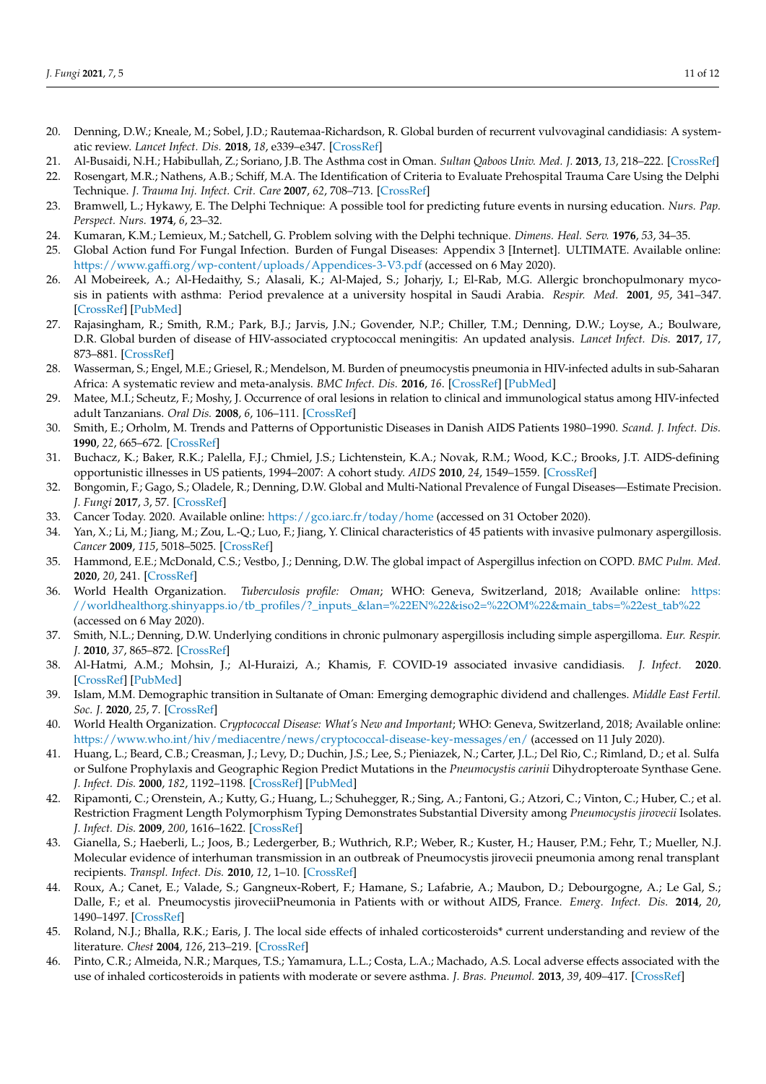- <span id="page-10-0"></span>20. Denning, D.W.; Kneale, M.; Sobel, J.D.; Rautemaa-Richardson, R. Global burden of recurrent vulvovaginal candidiasis: A systematic review. *Lancet Infect. Dis.* **2018**, *18*, e339–e347. [\[CrossRef\]](http://dx.doi.org/10.1016/S1473-3099(18)30103-8)
- <span id="page-10-1"></span>21. Al-Busaidi, N.H.; Habibullah, Z.; Soriano, J.B. The Asthma cost in Oman. *Sultan Qaboos Univ. Med. J.* **2013**, *13*, 218–222. [\[CrossRef\]](http://dx.doi.org/10.12816/0003226)
- 22. Rosengart, M.R.; Nathens, A.B.; Schiff, M.A. The Identification of Criteria to Evaluate Prehospital Trauma Care Using the Delphi Technique. *J. Trauma Inj. Infect. Crit. Care* **2007**, *62*, 708–713. [\[CrossRef\]](http://dx.doi.org/10.1097/01.ta.0000197150.07714.c2)
- 23. Bramwell, L.; Hykawy, E. The Delphi Technique: A possible tool for predicting future events in nursing education. *Nurs. Pap. Perspect. Nurs.* **1974**, *6*, 23–32.
- <span id="page-10-2"></span>24. Kumaran, K.M.; Lemieux, M.; Satchell, G. Problem solving with the Delphi technique. *Dimens. Heal. Serv.* **1976**, *53*, 34–35.
- <span id="page-10-3"></span>25. Global Action fund For Fungal Infection. Burden of Fungal Diseases: Appendix 3 [Internet]. ULTIMATE. Available online: <https://www.gaffi.org/wp-content/uploads/Appendices-3-V3.pdf> (accessed on 6 May 2020).
- <span id="page-10-4"></span>26. Al Mobeireek, A.; Al-Hedaithy, S.; Alasali, K.; Al-Majed, S.; Joharjy, I.; El-Rab, M.G. Allergic bronchopulmonary mycosis in patients with asthma: Period prevalence at a university hospital in Saudi Arabia. *Respir. Med.* **2001**, *95*, 341–347. [\[CrossRef\]](http://dx.doi.org/10.1053/rmed.2001.1047) [\[PubMed\]](http://www.ncbi.nlm.nih.gov/pubmed/11392574)
- <span id="page-10-5"></span>27. Rajasingham, R.; Smith, R.M.; Park, B.J.; Jarvis, J.N.; Govender, N.P.; Chiller, T.M.; Denning, D.W.; Loyse, A.; Boulware, D.R. Global burden of disease of HIV-associated cryptococcal meningitis: An updated analysis. *Lancet Infect. Dis.* **2017**, *17*, 873–881. [\[CrossRef\]](http://dx.doi.org/10.1016/S1473-3099(17)30243-8)
- <span id="page-10-6"></span>28. Wasserman, S.; Engel, M.E.; Griesel, R.; Mendelson, M. Burden of pneumocystis pneumonia in HIV-infected adults in sub-Saharan Africa: A systematic review and meta-analysis. *BMC Infect. Dis.* **2016**, *16*. [\[CrossRef\]](http://dx.doi.org/10.1186/s12879-016-1809-3) [\[PubMed\]](http://www.ncbi.nlm.nih.gov/pubmed/27612639)
- <span id="page-10-7"></span>29. Matee, M.I.; Scheutz, F.; Moshy, J. Occurrence of oral lesions in relation to clinical and immunological status among HIV-infected adult Tanzanians. *Oral Dis.* **2008**, *6*, 106–111. [\[CrossRef\]](http://dx.doi.org/10.1111/j.1601-0825.2000.tb00110.x)
- <span id="page-10-8"></span>30. Smith, E.; Orholm, M. Trends and Patterns of Opportunistic Diseases in Danish AIDS Patients 1980–1990. *Scand. J. Infect. Dis.* **1990**, *22*, 665–672. [\[CrossRef\]](http://dx.doi.org/10.3109/00365549009027119)
- <span id="page-10-9"></span>31. Buchacz, K.; Baker, R.K.; Palella, F.J.; Chmiel, J.S.; Lichtenstein, K.A.; Novak, R.M.; Wood, K.C.; Brooks, J.T. AIDS-defining opportunistic illnesses in US patients, 1994–2007: A cohort study. *AIDS* **2010**, *24*, 1549–1559. [\[CrossRef\]](http://dx.doi.org/10.1097/QAD.0b013e32833a3967)
- <span id="page-10-10"></span>32. Bongomin, F.; Gago, S.; Oladele, R.; Denning, D.W. Global and Multi-National Prevalence of Fungal Diseases—Estimate Precision. *J. Fungi* **2017**, *3*, 57. [\[CrossRef\]](http://dx.doi.org/10.3390/jof3040057)
- <span id="page-10-11"></span>33. Cancer Today. 2020. Available online: <https://gco.iarc.fr/today/home> (accessed on 31 October 2020).
- <span id="page-10-12"></span>34. Yan, X.; Li, M.; Jiang, M.; Zou, L.-Q.; Luo, F.; Jiang, Y. Clinical characteristics of 45 patients with invasive pulmonary aspergillosis. *Cancer* **2009**, *115*, 5018–5025. [\[CrossRef\]](http://dx.doi.org/10.1002/cncr.24559)
- <span id="page-10-13"></span>35. Hammond, E.E.; McDonald, C.S.; Vestbo, J.; Denning, D.W. The global impact of Aspergillus infection on COPD. *BMC Pulm. Med.* **2020**, *20*, 241. [\[CrossRef\]](http://dx.doi.org/10.1186/s12890-020-01259-8)
- <span id="page-10-14"></span>36. World Health Organization. *Tuberculosis profile: Oman*; WHO: Geneva, Switzerland, 2018; Available online: [https:](https://worldhealthorg.shinyapps.io/tb_profiles/?_inputs_&lan=%22EN%22&iso2=%22OM%22&main_tabs=%22est_tab%22) [//worldhealthorg.shinyapps.io/tb\\_profiles/?\\_inputs\\_&lan=%22EN%22&iso2=%22OM%22&main\\_tabs=%22est\\_tab%22](https://worldhealthorg.shinyapps.io/tb_profiles/?_inputs_&lan=%22EN%22&iso2=%22OM%22&main_tabs=%22est_tab%22) (accessed on 6 May 2020).
- <span id="page-10-15"></span>37. Smith, N.L.; Denning, D.W. Underlying conditions in chronic pulmonary aspergillosis including simple aspergilloma. *Eur. Respir. J.* **2010**, *37*, 865–872. [\[CrossRef\]](http://dx.doi.org/10.1183/09031936.00054810)
- <span id="page-10-16"></span>38. Al-Hatmi, A.M.; Mohsin, J.; Al-Huraizi, A.; Khamis, F. COVID-19 associated invasive candidiasis. *J. Infect.* **2020**. [\[CrossRef\]](http://dx.doi.org/10.1016/j.jinf.2020.08.005) [\[PubMed\]](http://www.ncbi.nlm.nih.gov/pubmed/32771402)
- <span id="page-10-17"></span>39. Islam, M.M. Demographic transition in Sultanate of Oman: Emerging demographic dividend and challenges. *Middle East Fertil. Soc. J.* **2020**, *25*, 7. [\[CrossRef\]](http://dx.doi.org/10.1186/s43043-020-00022-7)
- <span id="page-10-18"></span>40. World Health Organization. *Cryptococcal Disease: What's New and Important*; WHO: Geneva, Switzerland, 2018; Available online: <https://www.who.int/hiv/mediacentre/news/cryptococcal-disease-key-messages/en/> (accessed on 11 July 2020).
- <span id="page-10-19"></span>41. Huang, L.; Beard, C.B.; Creasman, J.; Levy, D.; Duchin, J.S.; Lee, S.; Pieniazek, N.; Carter, J.L.; Del Rio, C.; Rimland, D.; et al. Sulfa or Sulfone Prophylaxis and Geographic Region Predict Mutations in the *Pneumocystis carinii* Dihydropteroate Synthase Gene. *J. Infect. Dis.* **2000**, *182*, 1192–1198. [\[CrossRef\]](http://dx.doi.org/10.1086/315824) [\[PubMed\]](http://www.ncbi.nlm.nih.gov/pubmed/10979917)
- 42. Ripamonti, C.; Orenstein, A.; Kutty, G.; Huang, L.; Schuhegger, R.; Sing, A.; Fantoni, G.; Atzori, C.; Vinton, C.; Huber, C.; et al. Restriction Fragment Length Polymorphism Typing Demonstrates Substantial Diversity among *Pneumocystis jirovecii* Isolates. *J. Infect. Dis.* **2009**, *200*, 1616–1622. [\[CrossRef\]](http://dx.doi.org/10.1086/644643)
- <span id="page-10-20"></span>43. Gianella, S.; Haeberli, L.; Joos, B.; Ledergerber, B.; Wuthrich, R.P.; Weber, R.; Kuster, H.; Hauser, P.M.; Fehr, T.; Mueller, N.J. Molecular evidence of interhuman transmission in an outbreak of Pneumocystis jirovecii pneumonia among renal transplant recipients. *Transpl. Infect. Dis.* **2010**, *12*, 1–10. [\[CrossRef\]](http://dx.doi.org/10.1111/j.1399-3062.2009.00447.x)
- <span id="page-10-21"></span>44. Roux, A.; Canet, E.; Valade, S.; Gangneux-Robert, F.; Hamane, S.; Lafabrie, A.; Maubon, D.; Debourgogne, A.; Le Gal, S.; Dalle, F.; et al. Pneumocystis jiroveciiPneumonia in Patients with or without AIDS, France. *Emerg. Infect. Dis.* **2014**, *20*, 1490–1497. [\[CrossRef\]](http://dx.doi.org/10.3201/eid2009.131668)
- <span id="page-10-22"></span>45. Roland, N.J.; Bhalla, R.K.; Earis, J. The local side effects of inhaled corticosteroids\* current understanding and review of the literature. *Chest* **2004**, *126*, 213–219. [\[CrossRef\]](http://dx.doi.org/10.1378/chest.126.1.213)
- <span id="page-10-23"></span>46. Pinto, C.R.; Almeida, N.R.; Marques, T.S.; Yamamura, L.L.; Costa, L.A.; Machado, A.S. Local adverse effects associated with the use of inhaled corticosteroids in patients with moderate or severe asthma. *J. Bras. Pneumol.* **2013**, *39*, 409–417. [\[CrossRef\]](http://dx.doi.org/10.1590/S1806-37132013000400003)